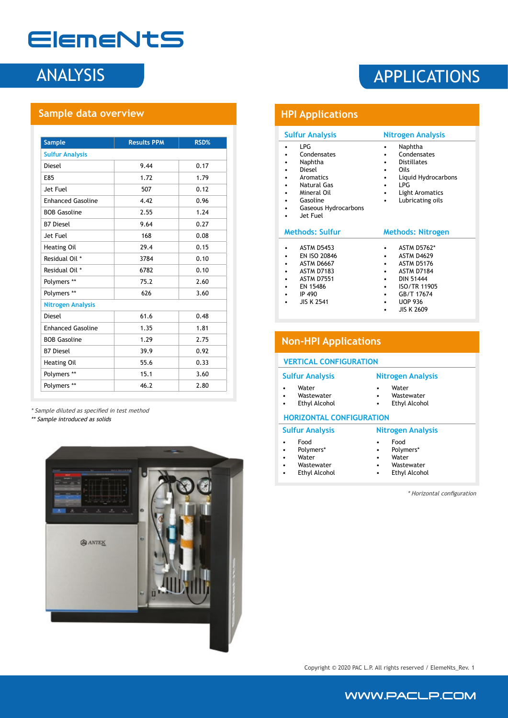## ElemeNtS

## **Sample data overview**

| <b>Sample</b>            | <b>Results PPM</b> | RSD% |
|--------------------------|--------------------|------|
| <b>Sulfur Analysis</b>   |                    |      |
| Diesel                   | 9.44               | 0.17 |
| E85                      | 1.72               | 1.79 |
| Jet Fuel                 | 507                | 0.12 |
| <b>Enhanced Gasoline</b> | 4.42               | 0.96 |
| <b>BOB Gasoline</b>      | 2.55               | 1.24 |
| <b>B7 Diesel</b>         | 9.64               | 0.27 |
| Jet Fuel                 | 168                | 0.08 |
| Heating Oil              | 29.4               | 0.15 |
| Residual Oil *           | 3784               | 0.10 |
| Residual Oil *           | 6782               | 0.10 |
| Polymers **              | 75.2               | 2.60 |
| Polymers **              | 626                | 3.60 |
| <b>Nitrogen Analysis</b> |                    |      |
| Diesel                   | 61.6               | 0.48 |
| <b>Enhanced Gasoline</b> | 1.35               | 1.81 |
| <b>BOB Gasoline</b>      | 1.29               | 2.75 |
| <b>B7 Diesel</b>         | 39.9               | 0.92 |
| Heating Oil              | 55.6               | 0.33 |
| Polymers **              | 15.1               | 3.60 |
| Polymers **              | 46.2               | 2.80 |

\* Sample diluted as specified in test method \*\* Sample introduced as solids



## ANALYSIS APPLICATIONS

| <b>HPI Applications</b>                                                                                                                         |                                                                                                                                                                                                  |  |  |  |  |
|-------------------------------------------------------------------------------------------------------------------------------------------------|--------------------------------------------------------------------------------------------------------------------------------------------------------------------------------------------------|--|--|--|--|
| <b>Sulfur Analysis</b>                                                                                                                          | <b>Nitrogen Analysis</b>                                                                                                                                                                         |  |  |  |  |
| LPG<br>$\bullet$<br>Condensates<br>Naphtha<br>Diesel<br>Aromatics<br>Natural Gas<br>Mineral Oil<br>Gasoline<br>Gaseous Hydrocarbons<br>Jet Fuel | Naphtha<br>Condensates<br><b>Distillates</b><br>Oils<br>Liquid Hydrocarbons<br>I PG<br><b>Light Aromatics</b><br>٠<br>Lubricating oils<br>٠                                                      |  |  |  |  |
| <b>Methods: Sulfur</b>                                                                                                                          | <b>Methods: Nitrogen</b>                                                                                                                                                                         |  |  |  |  |
| <b>ASTM D5453</b><br>EN ISO 20846<br>ASTM D6667<br><b>ASTM D7183</b><br><b>ASTM D7551</b><br>EN 15486<br>IP 490<br><b>JIS K 2541</b>            | <b>ASTM D5762*</b><br><b>ASTM D4629</b><br>٠<br><b>ASTM D5176</b><br><b>ASTM D7184</b><br><b>DIN 51444</b><br><b>ISO/TR 11905</b><br>٠<br>GB/T 17674<br>٠<br><b>UOP 936</b><br><b>JIS K 2609</b> |  |  |  |  |

| <b>Non-HPI Applications</b>                                                              |                                                           |  |  |  |  |  |  |
|------------------------------------------------------------------------------------------|-----------------------------------------------------------|--|--|--|--|--|--|
| <b>VERTICAL CONFIGURATION</b>                                                            |                                                           |  |  |  |  |  |  |
| <b>Sulfur Analysis</b>                                                                   | Nitrogen Analysis                                         |  |  |  |  |  |  |
| Water<br>$\bullet$<br>Wastewater<br>٠<br>Ethyl Alcohol<br>$\bullet$                      | Water<br>Wastewater<br>Ethyl Alcohol<br>٠                 |  |  |  |  |  |  |
| <b>HORIZONTAL CONFIGURATION</b>                                                          |                                                           |  |  |  |  |  |  |
| <b>Sulfur Analysis</b>                                                                   | Nitrogen Analysis                                         |  |  |  |  |  |  |
| Food<br>$\bullet$<br>Polymers*<br>٠<br>Water<br>Wastewater<br>$\bullet$<br>Ethyl Alcohol | Food<br>Polymers*<br>Water<br>Wastewater<br>Ethyl Alcohol |  |  |  |  |  |  |

\* Horizontal configuration

Copyright © 2020 PAC L.P. All rights reserved / ElemeNts\_Rev. 1